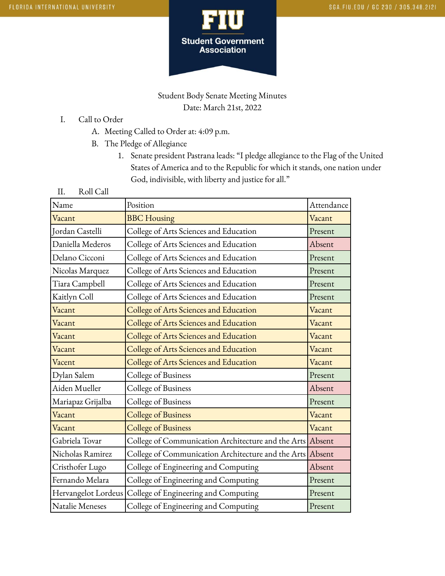

## Student Body Senate Meeting Minutes Date: March 21st, 2022

- I. Call to Order
	- A. Meeting Called to Order at: 4:09 p.m.
	- B. The Pledge of Allegiance
		- 1. Senate president Pastrana leads: "I pledge allegiance to the Flag of the United States of America and to the Republic for which it stands, one nation under God, indivisible, with liberty and justice for all."
- II. Roll Call

| Name                | Position                                                  | Attendance |
|---------------------|-----------------------------------------------------------|------------|
| Vacant              | <b>BBC</b> Housing                                        | Vacant     |
| Jordan Castelli     | College of Arts Sciences and Education                    | Present    |
| Daniella Mederos    | College of Arts Sciences and Education                    | Absent     |
| Delano Cicconi      | College of Arts Sciences and Education                    | Present    |
| Nicolas Marquez     | College of Arts Sciences and Education                    | Present    |
| Tiara Campbell      | College of Arts Sciences and Education                    | Present    |
| Kaitlyn Coll        | College of Arts Sciences and Education                    | Present    |
| Vacant              | College of Arts Sciences and Education                    | Vacant     |
| Vacant              | College of Arts Sciences and Education                    | Vacant     |
| Vacant              | College of Arts Sciences and Education                    | Vacant     |
| Vacant              | College of Arts Sciences and Education                    | Vacant     |
| Vacent              | College of Arts Sciences and Education                    | Vacant     |
| Dylan Salem         | College of Business                                       | Present    |
| Aiden Mueller       | College of Business                                       | Absent     |
| Mariapaz Grijalba   | College of Business                                       | Present    |
| Vacant              | <b>College of Business</b>                                | Vacant     |
| Vacant              | <b>College of Business</b>                                | Vacant     |
| Gabriela Tovar      | College of Communication Architecture and the Arts Absent |            |
| Nicholas Ramirez    | College of Communication Architecture and the Arts        | Absent     |
| Cristhofer Lugo     | College of Engineering and Computing                      | Absent     |
| Fernando Melara     | College of Engineering and Computing                      | Present    |
| Hervangelot Lordeus | College of Engineering and Computing                      | Present    |
| Natalie Meneses     | College of Engineering and Computing                      | Present    |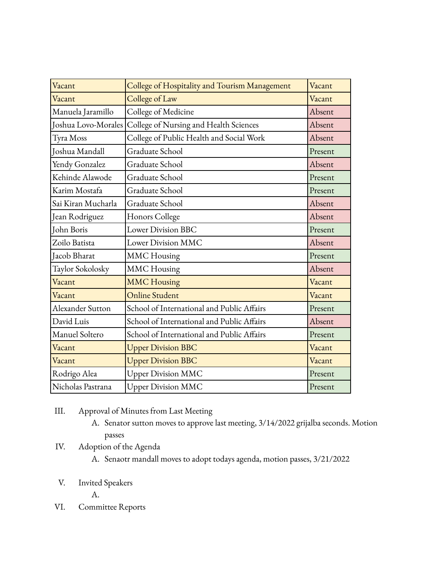| Vacant              | College of Hospitality and Tourism Management | Vacant  |
|---------------------|-----------------------------------------------|---------|
| Vacant              | College of Law                                | Vacant  |
| Manuela Jaramillo   | College of Medicine                           | Absent  |
| Joshua Lovo-Morales | College of Nursing and Health Sciences        | Absent  |
| Tyra Moss           | College of Public Health and Social Work      | Absent  |
| Joshua Mandall      | Graduate School                               | Present |
| Yendy Gonzalez      | Graduate School                               | Absent  |
| Kehinde Alawode     | Graduate School                               | Present |
| Karim Mostafa       | Graduate School                               | Present |
| Sai Kiran Mucharla  | Graduate School                               | Absent  |
| Jean Rodriguez      | Honors College                                | Absent  |
| John Boris          | <b>Lower Division BBC</b>                     | Present |
| Zoilo Batista       | Lower Division MMC                            | Absent  |
| Jacob Bharat        | <b>MMC</b> Housing                            | Present |
| Taylor Sokolosky    | <b>MMC</b> Housing                            | Absent  |
| Vacant              | <b>MMC Housing</b>                            | Vacant  |
| Vacant              | <b>Online Student</b>                         | Vacant  |
| Alexander Sutton    | School of International and Public Affairs    | Present |
| David Luis          | School of International and Public Affairs    | Absent  |
| Manuel Soltero      | School of International and Public Affairs    | Present |
| Vacant              | <b>Upper Division BBC</b>                     | Vacant  |
| Vacant              | <b>Upper Division BBC</b>                     | Vacant  |
| Rodrigo Alea        | <b>Upper Division MMC</b>                     | Present |
| Nicholas Pastrana   | <b>Upper Division MMC</b>                     | Present |

- III. Approval of Minutes from Last Meeting
	- A. Senator sutton moves to approve last meeting, 3/14/2022 grijalba seconds. Motion passes
- IV. Adoption of the Agenda
	- A. Senaotr mandall moves to adopt todays agenda, motion passes, 3/21/2022
- V. Invited Speakers
	- A.
- VI. Committee Reports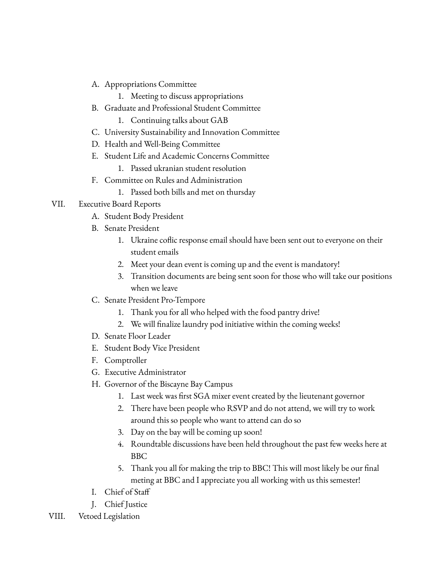- A. Appropriations Committee
	- 1. Meeting to discuss appropriations
- B. Graduate and Professional Student Committee
	- 1. Continuing talks about GAB
- C. University Sustainability and Innovation Committee
- D. Health and Well-Being Committee
- E. Student Life and Academic Concerns Committee
	- 1. Passed ukranian student resolution
- F. Committee on Rules and Administration
	- 1. Passed both bills and met on thursday
- VII. Executive Board Reports
	- A. Student Body President
	- B. Senate President
		- 1. Ukraine coflic response email should have been sent out to everyone on their student emails
		- 2. Meet your dean event is coming up and the event is mandatory!
		- 3. Transition documents are being sent soon for those who will take our positions when we leave
	- C. Senate President Pro-Tempore
		- 1. Thank you for all who helped with the food pantry drive!
		- 2. We will finalize laundry pod initiative within the coming weeks!
	- D. Senate Floor Leader
	- E. Student Body Vice President
	- F. Comptroller
	- G. Executive Administrator
	- H. Governor of the Biscayne Bay Campus
		- 1. Last week was first SGA mixer event created by the lieutenant governor
		- 2. There have been people who RSVP and do not attend, we will try to work around this so people who want to attend can do so
		- 3. Day on the bay will be coming up soon!
		- 4. Roundtable discussions have been held throughout the past few weeks here at BBC
		- 5. Thank you all for making the trip to BBC! This will most likely be our final meting at BBC and I appreciate you all working with us this semester!
	- I. Chief of Staff
	- J. Chief Justice
- VIII. Vetoed Legislation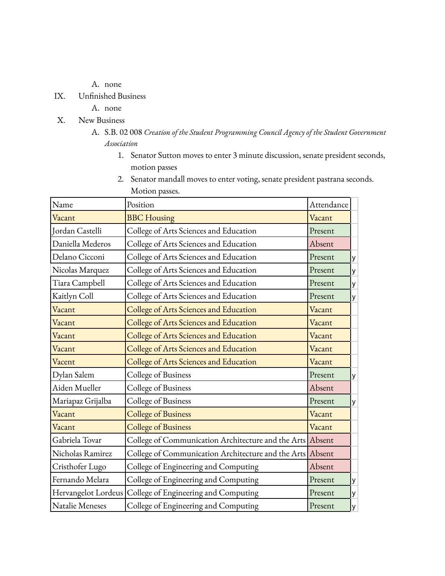- A. none
- IX. Unfinished Business
	- A. none
- X. New Business
	- A. S.B. 02 008 *Creation of the Student Programming Council Agency of the Student Government Association*
		- 1. Senator Sutton moves to enter 3 minute discussion, senate president seconds, motion passes
		- 2. Senator mandall moves to enter voting, senate president pastrana seconds. Motion passes.

| Name                | Position                                                  | Attendance |   |
|---------------------|-----------------------------------------------------------|------------|---|
| Vacant              | <b>BBC</b> Housing                                        | Vacant     |   |
| Jordan Castelli     | College of Arts Sciences and Education                    | Present    |   |
| Daniella Mederos    | College of Arts Sciences and Education                    | Absent     |   |
| Delano Cicconi      | College of Arts Sciences and Education                    | Present    | У |
| Nicolas Marquez     | College of Arts Sciences and Education                    | Present    | у |
| Tiara Campbell      | College of Arts Sciences and Education                    | Present    | у |
| Kaitlyn Coll        | College of Arts Sciences and Education                    | Present    | У |
| Vacant              | College of Arts Sciences and Education                    | Vacant     |   |
| Vacant              | College of Arts Sciences and Education                    | Vacant     |   |
| Vacant              | College of Arts Sciences and Education                    | Vacant     |   |
| Vacant              | College of Arts Sciences and Education                    | Vacant     |   |
| Vacent              | College of Arts Sciences and Education                    | Vacant     |   |
| Dylan Salem         | College of Business                                       | Present    | y |
| Aiden Mueller       | College of Business                                       | Absent     |   |
| Mariapaz Grijalba   | College of Business                                       | Present    | у |
| Vacant              | <b>College of Business</b>                                | Vacant     |   |
| Vacant              | <b>College of Business</b>                                | Vacant     |   |
| Gabriela Tovar      | College of Communication Architecture and the Arts Absent |            |   |
| Nicholas Ramirez    | College of Communication Architecture and the Arts Absent |            |   |
| Cristhofer Lugo     | College of Engineering and Computing                      | Absent     |   |
| Fernando Melara     | College of Engineering and Computing                      | Present    | у |
| Hervangelot Lordeus | College of Engineering and Computing                      | Present    | У |
| Natalie Meneses     | College of Engineering and Computing                      | Present    | У |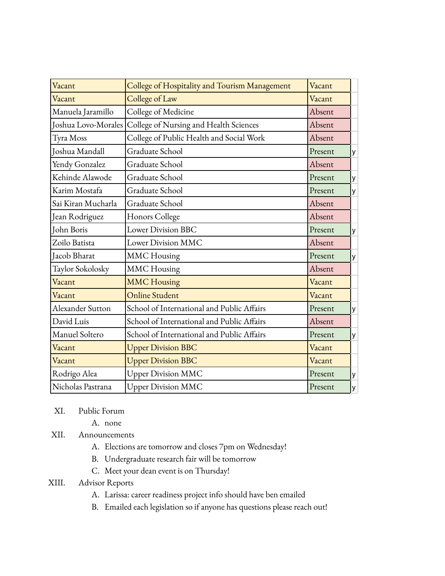| Vacant              | College of Hospitality and Tourism Management | Vacant  |   |
|---------------------|-----------------------------------------------|---------|---|
| Vacant              | College of Law                                | Vacant  |   |
| Manuela Jaramillo   | College of Medicine                           | Absent  |   |
| Joshua Lovo-Morales | College of Nursing and Health Sciences        | Absent  |   |
| Tyra Moss           | College of Public Health and Social Work      | Absent  |   |
| Joshua Mandall      | Graduate School                               | Present | y |
| Yendy Gonzalez      | Graduate School                               | Absent  |   |
| Kehinde Alawode     | Graduate School                               | Present | У |
| Karim Mostafa       | Graduate School                               | Present | y |
| Sai Kiran Mucharla  | Graduate School                               | Absent  |   |
| Jean Rodriguez      | Honors College                                | Absent  |   |
| John Boris          | <b>Lower Division BBC</b>                     | Present | y |
| Zoilo Batista       | <b>Lower Division MMC</b>                     | Absent  |   |
| Jacob Bharat        | <b>MMC</b> Housing                            | Present | y |
| Taylor Sokolosky    | <b>MMC</b> Housing                            | Absent  |   |
| Vacant              | <b>MMC Housing</b>                            | Vacant  |   |
| Vacant              | <b>Online Student</b>                         | Vacant  |   |
| Alexander Sutton    | School of International and Public Affairs    | Present | y |
| David Luis          | School of International and Public Affairs    | Absent  |   |
| Manuel Soltero      | School of International and Public Affairs    | Present | У |
| Vacant              | <b>Upper Division BBC</b>                     | Vacant  |   |
| Vacant              | <b>Upper Division BBC</b>                     | Vacant  |   |
| Rodrigo Alea        | <b>Upper Division MMC</b>                     | Present | y |
| Nicholas Pastrana   | <b>Upper Division MMC</b>                     | Present | y |

- XI. Public Forum
	- A. none
- XII. Announcements
	- A. Elections are tomorrow and closes 7pm on Wednesday!
	- B. Undergraduate research fair will be tomorrow
	- C. Meet your dean event is on Thursday!
- XIII. Advisor Reports
	- A. Larissa: career readiness project info should have ben emailed
	- B. Emailed each legislation so if anyone has questions please reach out!